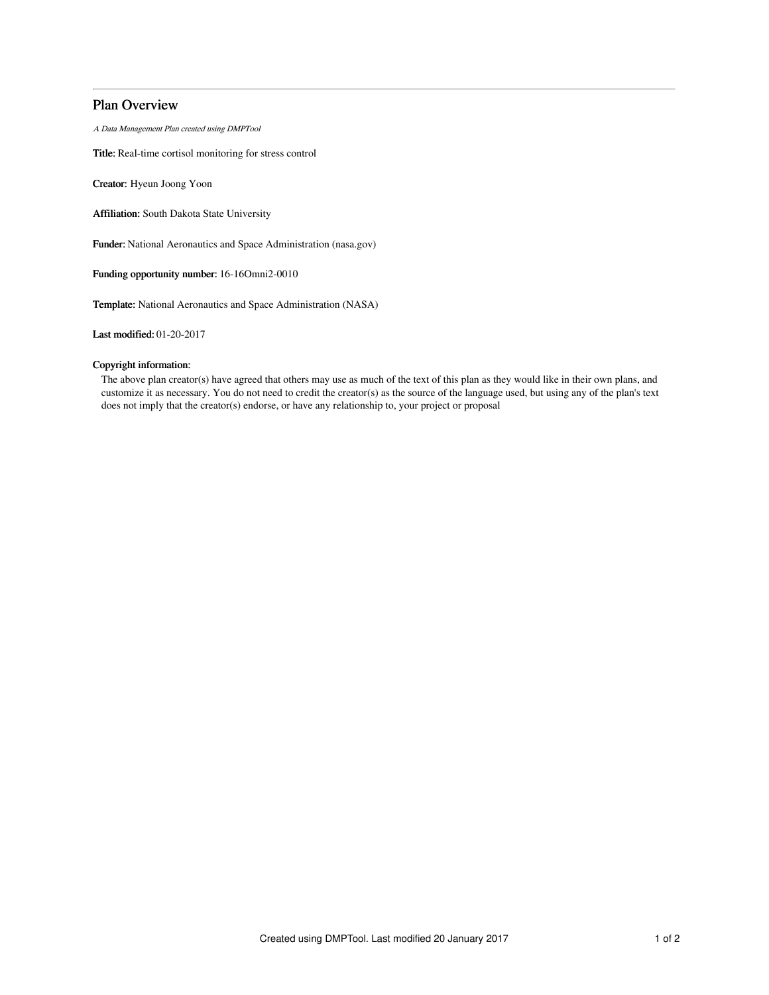# Plan Overview

A Data Management Plan created using DMPTool

Title: Real-time cortisol monitoring for stress control

Creator: Hyeun Joong Yoon

Affiliation: South Dakota State University

Funder: National Aeronautics and Space Administration (nasa.gov)

Funding opportunity number: 16-16Omni2-0010

Template: National Aeronautics and Space Administration (NASA)

Last modified: 01-20-2017

# Copyright information:

The above plan creator(s) have agreed that others may use as much of the text of this plan as they would like in their own plans, and customize it as necessary. You do not need to credit the creator(s) as the source of the language used, but using any of the plan's text does not imply that the creator(s) endorse, or have any relationship to, your project or proposal